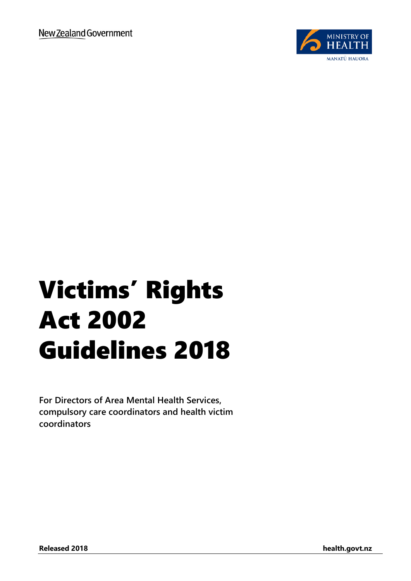

# Victims' Rights Act 2002 Guidelines 2018

**For Directors of Area Mental Health Services, compulsory care coordinators and health victim coordinators**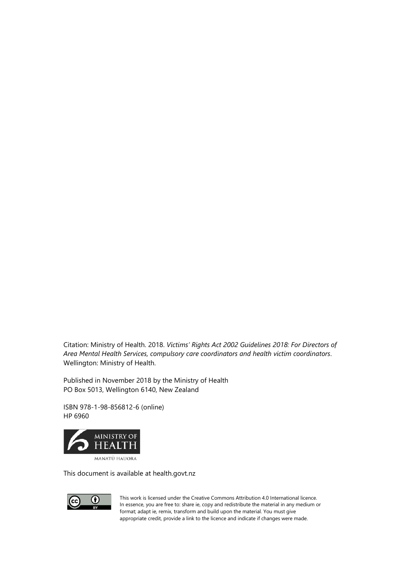Citation: Ministry of Health. 2018. *Victims' Rights Act 2002 Guidelines 2018: For Directors of Area Mental Health Services, compulsory care coordinators and health victim coordinators*. Wellington: Ministry of Health.

Published in November 2018 by the Ministry of Health PO Box 5013, Wellington 6140, New Zealand

ISBN 978-1-98-856812-6 (online) HP 6960



This document is available at health.govt.nz



This work is licensed under the Creative Commons Attribution 4.0 International licence. In essence, you are free to: share ie, copy and redistribute the material in any medium or format; adapt ie, remix, transform and build upon the material. You must give appropriate credit, provide a link to the licence and indicate if changes were made.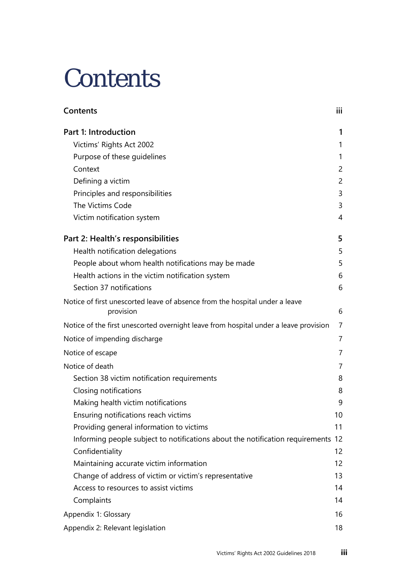# <span id="page-2-0"></span>**Contents**

| Contents                                                                                 | iii |
|------------------------------------------------------------------------------------------|-----|
| Part 1: Introduction                                                                     | 1   |
| Victims' Rights Act 2002                                                                 | 1   |
| Purpose of these guidelines                                                              | 1   |
| Context                                                                                  | 2   |
| Defining a victim                                                                        | 2   |
| Principles and responsibilities                                                          | 3   |
| The Victims Code                                                                         | 3   |
| Victim notification system                                                               | 4   |
| Part 2: Health's responsibilities                                                        | 5   |
| Health notification delegations                                                          | 5   |
| People about whom health notifications may be made                                       | 5   |
| Health actions in the victim notification system                                         | 6   |
| Section 37 notifications                                                                 | 6   |
| Notice of first unescorted leave of absence from the hospital under a leave<br>provision | 6   |
| Notice of the first unescorted overnight leave from hospital under a leave provision     | 7   |
| Notice of impending discharge                                                            | 7   |
| Notice of escape                                                                         | 7   |
| Notice of death                                                                          | 7   |
| Section 38 victim notification requirements                                              | 8   |
| Closing notifications                                                                    | 8   |
| Making health victim notifications                                                       | 9   |
| Ensuring notifications reach victims                                                     | 10  |
| Providing general information to victims                                                 | 11  |
| Informing people subject to notifications about the notification requirements 12         |     |
| Confidentiality                                                                          | 12  |
| Maintaining accurate victim information                                                  | 12  |
| Change of address of victim or victim's representative                                   | 13  |
| Access to resources to assist victims                                                    | 14  |
| Complaints                                                                               | 14  |
| Appendix 1: Glossary                                                                     | 16  |
| Appendix 2: Relevant legislation                                                         | 18  |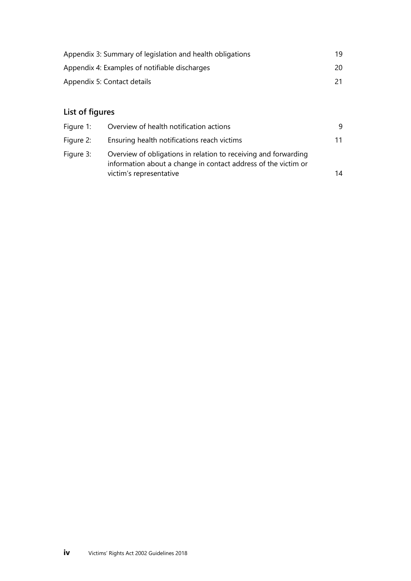| Appendix 3: Summary of legislation and health obligations | 19. |
|-----------------------------------------------------------|-----|
| Appendix 4: Examples of notifiable discharges             | 20  |
| Appendix 5: Contact details                               |     |

#### **List of figures**

| Figure 1: | Overview of health notification actions                                                                                                                      | 9  |
|-----------|--------------------------------------------------------------------------------------------------------------------------------------------------------------|----|
| Figure 2: | Ensuring health notifications reach victims                                                                                                                  | 11 |
| Figure 3: | Overview of obligations in relation to receiving and forwarding<br>information about a change in contact address of the victim or<br>victim's representative | 14 |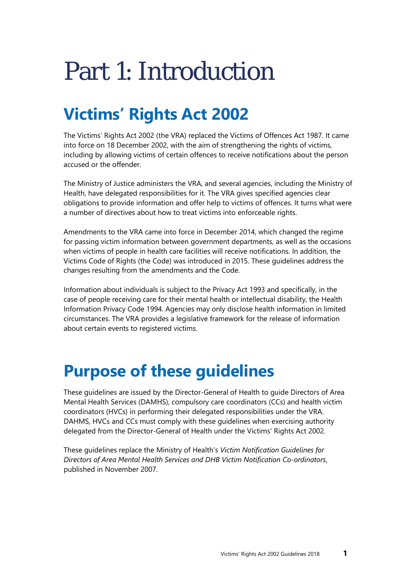# <span id="page-4-0"></span>Part 1: Introduction

# <span id="page-4-1"></span>**Victims' Rights Act 2002**

The Victims' Rights Act 2002 (the VRA) replaced the Victims of Offences Act 1987. It came into force on 18 December 2002, with the aim of strengthening the rights of victims, including by allowing victims of certain offences to receive notifications about the person accused or the offender.

The Ministry of Justice administers the VRA, and several agencies, including the Ministry of Health, have delegated responsibilities for it. The VRA gives specified agencies clear obligations to provide information and offer help to victims of offences. It turns what were a number of directives about how to treat victims into enforceable rights.

Amendments to the VRA came into force in December 2014, which changed the regime for passing victim information between government departments, as well as the occasions when victims of people in health care facilities will receive notifications. In addition, the Victims Code of Rights (the Code) was introduced in 2015. These guidelines address the changes resulting from the amendments and the Code.

Information about individuals is subject to the Privacy Act 1993 and specifically, in the case of people receiving care for their mental health or intellectual disability, the Health Information Privacy Code 1994. Agencies may only disclose health information in limited circumstances. The VRA provides a legislative framework for the release of information about certain events to registered victims.

#### <span id="page-4-2"></span>**Purpose of these guidelines**

These guidelines are issued by the Director-General of Health to guide Directors of Area Mental Health Services (DAMHS), compulsory care coordinators (CCs) and health victim coordinators (HVCs) in performing their delegated responsibilities under the VRA. DAHMS, HVCs and CCs must comply with these guidelines when exercising authority delegated from the Director-General of Health under the Victims' Rights Act 2002.

These guidelines replace the Ministry of Health's *Victim Notification Guidelines for Directors of Area Mental Health Services and DHB Victim Notification Co-ordinators*, published in November 2007.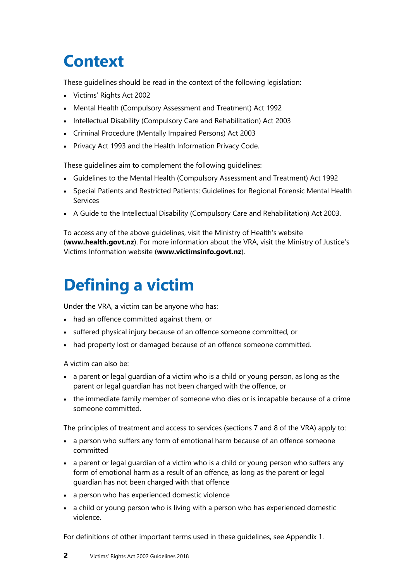## <span id="page-5-0"></span>**Context**

These guidelines should be read in the context of the following legislation:

- Victims' Rights Act 2002
- Mental Health (Compulsory Assessment and Treatment) Act 1992
- Intellectual Disability (Compulsory Care and Rehabilitation) Act 2003
- Criminal Procedure (Mentally Impaired Persons) Act 2003
- Privacy Act 1993 and the Health Information Privacy Code.

These guidelines aim to complement the following guidelines:

- Guidelines to the Mental Health (Compulsory Assessment and Treatment) Act 1992
- Special Patients and Restricted Patients: Guidelines for Regional Forensic Mental Health Services
- A Guide to the Intellectual Disability (Compulsory Care and Rehabilitation) Act 2003.

To access any of the above guidelines, visit the Ministry of Health's website (**[www.health.govt.nz](http://www.health.govt.nz/)**). For more information about the VRA, visit the Ministry of Justice's Victims Information website (**[www.victimsinfo.govt.nz](http://www.victimsinfo.govt.nz/)**).

# <span id="page-5-1"></span>**Defining a victim**

Under the VRA, a victim can be anyone who has:

- had an offence committed against them, or
- suffered physical injury because of an offence someone committed, or
- had property lost or damaged because of an offence someone committed.

A victim can also be:

- a parent or legal guardian of a victim who is a child or young person, as long as the parent or legal guardian has not been charged with the offence, or
- the immediate family member of someone who dies or is incapable because of a crime someone committed.

The principles of treatment and access to services (sections 7 and 8 of the VRA) apply to:

- a person who suffers any form of emotional harm because of an offence someone committed
- a parent or legal guardian of a victim who is a child or young person who suffers any form of emotional harm as a result of an offence, as long as the parent or legal guardian has not been charged with that offence
- a person who has experienced domestic violence
- a child or young person who is living with a person who has experienced domestic violence.

For definitions of other important terms used in these guidelines, see Appendix 1.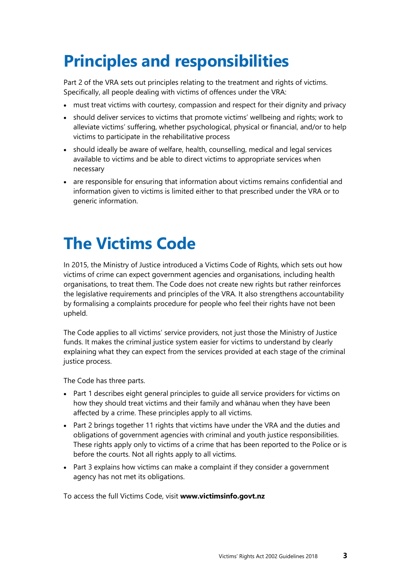## <span id="page-6-0"></span>**Principles and responsibilities**

Part 2 of the VRA sets out principles relating to the treatment and rights of victims. Specifically, all people dealing with victims of offences under the VRA:

- must treat victims with courtesy, compassion and respect for their dignity and privacy
- should deliver services to victims that promote victims' wellbeing and rights; work to alleviate victims' suffering, whether psychological, physical or financial, and/or to help victims to participate in the rehabilitative process
- should ideally be aware of welfare, health, counselling, medical and legal services available to victims and be able to direct victims to appropriate services when necessary
- are responsible for ensuring that information about victims remains confidential and information given to victims is limited either to that prescribed under the VRA or to generic information.

### <span id="page-6-1"></span>**The Victims Code**

In 2015, the Ministry of Justice introduced a Victims Code of Rights, which sets out how victims of crime can expect government agencies and organisations, including health organisations, to treat them. The Code does not create new rights but rather reinforces the legislative requirements and principles of the VRA. It also strengthens accountability by formalising a complaints procedure for people who feel their rights have not been upheld.

The Code applies to all victims' service providers, not just those the Ministry of Justice funds. It makes the criminal justice system easier for victims to understand by clearly explaining what they can expect from the services provided at each stage of the criminal justice process.

The Code has three parts.

- Part 1 describes eight general principles to guide all service providers for victims on how they should treat victims and their family and whānau when they have been affected by a crime. These principles apply to all victims.
- Part 2 brings together 11 rights that victims have under the VRA and the duties and obligations of government agencies with criminal and youth justice responsibilities. These rights apply only to victims of a crime that has been reported to the Police or is before the courts. Not all rights apply to all victims.
- Part 3 explains how victims can make a complaint if they consider a government agency has not met its obligations.

To access the full Victims Code, visit **[www.victimsinfo.govt.nz](http://www.victimsinfo.govt.nz/)**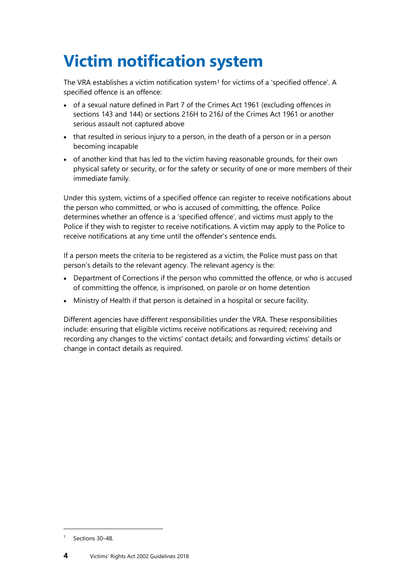# <span id="page-7-0"></span>**Victim notification system**

The VRA establishes a victim notification system<sup>[1](#page-7-1)</sup> for victims of a 'specified offence'. A specified offence is an offence:

- of a sexual nature defined in Part 7 of the Crimes Act 1961 (excluding offences in sections 143 and 144) or sections 216H to 216J of the Crimes Act 1961 or another serious assault not captured above
- that resulted in serious injury to a person, in the death of a person or in a person becoming incapable
- of another kind that has led to the victim having reasonable grounds, for their own physical safety or security, or for the safety or security of one or more members of their immediate family.

Under this system, victims of a specified offence can register to receive notifications about the person who committed, or who is accused of committing, the offence. Police determines whether an offence is a 'specified offence', and victims must apply to the Police if they wish to register to receive notifications. A victim may apply to the Police to receive notifications at any time until the offender's sentence ends.

If a person meets the criteria to be registered as a victim, the Police must pass on that person's details to the relevant agency. The relevant agency is the:

- Department of Corrections if the person who committed the offence, or who is accused of committing the offence, is imprisoned, on parole or on home detention
- Ministry of Health if that person is detained in a hospital or secure facility.

Different agencies have different responsibilities under the VRA. These responsibilities include: ensuring that eligible victims receive notifications as required; receiving and recording any changes to the victims' contact details; and forwarding victims' details or change in contact details as required.

l

<span id="page-7-1"></span><sup>&</sup>lt;sup>1</sup> Sections 30-48.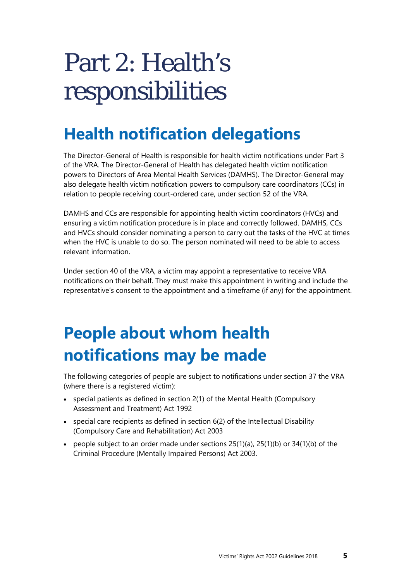# <span id="page-8-0"></span>Part 2: Health's responsibilities

## <span id="page-8-1"></span>**Health notification delegations**

The Director-General of Health is responsible for health victim notifications under Part 3 of the VRA. The Director-General of Health has delegated health victim notification powers to Directors of Area Mental Health Services (DAMHS). The Director-General may also delegate health victim notification powers to compulsory care coordinators (CCs) in relation to people receiving court-ordered care, under section 52 of the VRA.

DAMHS and CCs are responsible for appointing health victim coordinators (HVCs) and ensuring a victim notification procedure is in place and correctly followed. DAMHS, CCs and HVCs should consider nominating a person to carry out the tasks of the HVC at times when the HVC is unable to do so. The person nominated will need to be able to access relevant information.

Under section 40 of the VRA, a victim may appoint a representative to receive VRA notifications on their behalf. They must make this appointment in writing and include the representative's consent to the appointment and a timeframe (if any) for the appointment.

## <span id="page-8-2"></span>**People about whom health notifications may be made**

The following categories of people are subject to notifications under section 37 the VRA (where there is a registered victim):

- special patients as defined in section 2(1) of the Mental Health (Compulsory Assessment and Treatment) Act 1992
- special care recipients as defined in section 6(2) of the Intellectual Disability (Compulsory Care and Rehabilitation) Act 2003
- people subject to an order made under sections  $25(1)(a)$ ,  $25(1)(b)$  or  $34(1)(b)$  of the Criminal Procedure (Mentally Impaired Persons) Act 2003.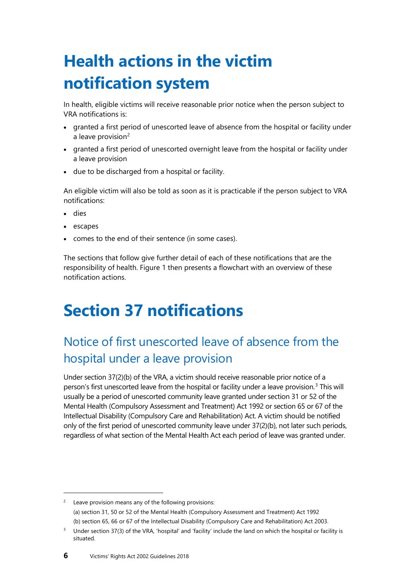# <span id="page-9-0"></span>**Health actions in the victim notification system**

In health, eligible victims will receive reasonable prior notice when the person subject to VRA notifications is:

- granted a first period of unescorted leave of absence from the hospital or facility under a leave provision<sup>[2](#page-9-3)</sup>
- granted a first period of unescorted overnight leave from the hospital or facility under a leave provision
- due to be discharged from a hospital or facility.

An eligible victim will also be told as soon as it is practicable if the person subject to VRA notifications:

- dies
- escapes
- comes to the end of their sentence (in some cases).

The sections that follow give further detail of each of these notifications that are the responsibility of health. Figure 1 then presents a flowchart with an overview of these notification actions.

## <span id="page-9-1"></span>**Section 37 notifications**

#### <span id="page-9-2"></span>Notice of first unescorted leave of absence from the hospital under a leave provision

Under section 37(2)(b) of the VRA, a victim should receive reasonable prior notice of a person's first unescorted leave from the hospital or facility under a leave provision. [3](#page-9-4) This will usually be a period of unescorted community leave granted under section 31 or 52 of the Mental Health (Compulsory Assessment and Treatment) Act 1992 or section 65 or 67 of the Intellectual Disability (Compulsory Care and Rehabilitation) Act. A victim should be notified only of the first period of unescorted community leave under 37(2)(b), not later such periods, regardless of what section of the Mental Health Act each period of leave was granted under.

<span id="page-9-3"></span>  $2^{\circ}$  Leave provision means any of the following provisions: (a) section 31, 50 or 52 of the Mental Health (Compulsory Assessment and Treatment) Act 1992 (b) section 65, 66 or 67 of the Intellectual Disability (Compulsory Care and Rehabilitation) Act 2003.

<span id="page-9-4"></span><sup>&</sup>lt;sup>3</sup> Under section 37(3) of the VRA, 'hospital' and 'facility' include the land on which the hospital or facility is situated.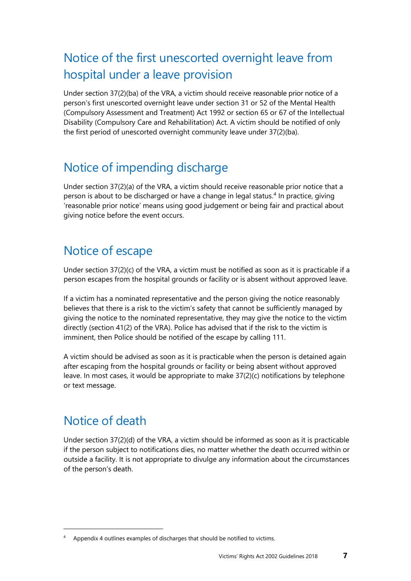#### <span id="page-10-0"></span>Notice of the first unescorted overnight leave from hospital under a leave provision

Under section 37(2)(ba) of the VRA, a victim should receive reasonable prior notice of a person's first unescorted overnight leave under section 31 or 52 of the Mental Health (Compulsory Assessment and Treatment) Act 1992 or section 65 or 67 of the Intellectual Disability (Compulsory Care and Rehabilitation) Act. A victim should be notified of only the first period of unescorted overnight community leave under 37(2)(ba).

#### <span id="page-10-1"></span>Notice of impending discharge

Under section 37(2)(a) of the VRA, a victim should receive reasonable prior notice that a person is about to be discharged or have a change in legal status.[4](#page-10-4) In practice, giving 'reasonable prior notice' means using good judgement or being fair and practical about giving notice before the event occurs.

#### <span id="page-10-2"></span>Notice of escape

Under section 37(2)(c) of the VRA, a victim must be notified as soon as it is practicable if a person escapes from the hospital grounds or facility or is absent without approved leave.

If a victim has a nominated representative and the person giving the notice reasonably believes that there is a risk to the victim's safety that cannot be sufficiently managed by giving the notice to the nominated representative, they may give the notice to the victim directly (section 41(2) of the VRA). Police has advised that if the risk to the victim is imminent, then Police should be notified of the escape by calling 111.

A victim should be advised as soon as it is practicable when the person is detained again after escaping from the hospital grounds or facility or being absent without approved leave. In most cases, it would be appropriate to make 37(2)(c) notifications by telephone or text message.

#### <span id="page-10-3"></span>Notice of death

l

Under section 37(2)(d) of the VRA, a victim should be informed as soon as it is practicable if the person subject to notifications dies, no matter whether the death occurred within or outside a facility. It is not appropriate to divulge any information about the circumstances of the person's death.

<span id="page-10-4"></span><sup>4</sup> Appendix 4 outlines examples of discharges that should be notified to victims.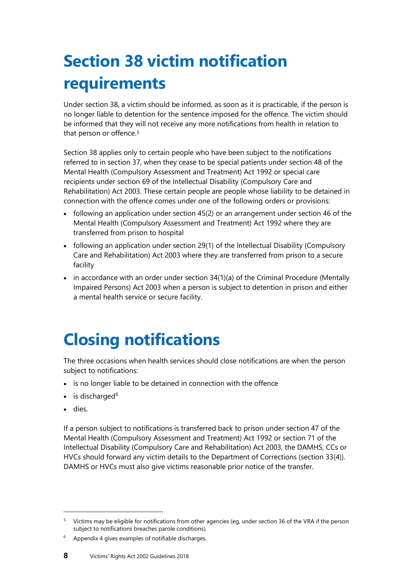# <span id="page-11-0"></span>**Section 38 victim notification requirements**

Under section 38, a victim should be informed, as soon as it is practicable, if the person is no longer liable to detention for the sentence imposed for the offence. The victim should be informed that they [w](#page-11-2)ill not receive any more notifications from health in relation to that person or offence.<sup>5</sup>

Section 38 applies only to certain people who have been subject to the notifications referred to in section 37, when they cease to be special patients under section 48 of the Mental Health (Compulsory Assessment and Treatment) Act 1992 or special care recipients under section 69 of the Intellectual Disability (Compulsory Care and Rehabilitation) Act 2003. These certain people are people whose liability to be detained in connection with the offence comes under one of the following orders or provisions:

- following an application under section 45(2) or an arrangement under section 46 of the Mental Health (Compulsory Assessment and Treatment) Act 1992 where they are transferred from prison to hospital
- following an application under section 29(1) of the Intellectual Disability (Compulsory Care and Rehabilitation) Act 2003 where they are transferred from prison to a secure facility
- in accordance with an order under section 34(1)(a) of the Criminal Procedure (Mentally Impaired Persons) Act 2003 when a person is subject to detention in prison and either a mental health service or secure facility.

# <span id="page-11-1"></span>**Closing notifications**

The three occasions when health services should close notifications are when the person subject to notifications:

- is no longer liable to be detained in connection with the offence
- $\bullet$  is discharged<sup>[6](#page-11-3)</sup>
- dies.

l

If a person subject to notifications is transferred back to prison under section 47 of the Mental Health (Compulsory Assessment and Treatment) Act 1992 or section 71 of the Intellectual Disability (Compulsory Care and Rehabilitation) Act 2003, the DAMHS, CCs or HVCs should forward any victim details to the Department of Corrections (section 33(4)). DAMHS or HVCs must also give victims reasonable prior notice of the transfer.

<span id="page-11-2"></span><sup>5</sup> Victims may be eligible for notifications from other agencies (eg, under section 36 of the VRA if the person subject to notifications breaches parole conditions).

<span id="page-11-3"></span><sup>6</sup> Appendix 4 gives examples of notifiable discharges.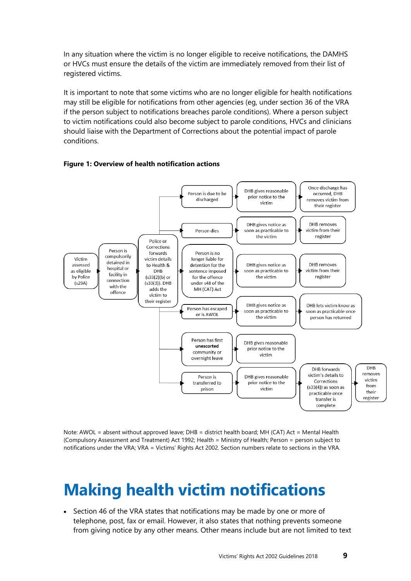In any situation where the victim is no longer eligible to receive notifications, the DAMHS or HVCs must ensure the details of the victim are immediately removed from their list of registered victims.

It is important to note that some victims who are no longer eligible for health notifications may still be eligible for notifications from other agencies (eg, under section 36 of the VRA if the person subject to notifications breaches parole conditions). Where a person subject to victim notifications could also become subject to parole conditions, HVCs and clinicians should liaise with the Department of Corrections about the potential impact of parole conditions.



#### **Figure 1: Overview of health notification actions**

Note: AWOL = absent without approved leave; DHB = district health board; MH (CAT) Act = Mental Health (Compulsory Assessment and Treatment) Act 1992; Health = Ministry of Health; Person = person subject to notifications under the VRA; VRA = Victims' Rights Act 2002. Section numbers relate to sections in the VRA.

#### <span id="page-12-0"></span>**Making health victim notifications**

• Section 46 of the VRA states that notifications may be made by one or more of telephone, post, fax or email. However, it also states that nothing prevents someone from giving notice by any other means. Other means include but are not limited to text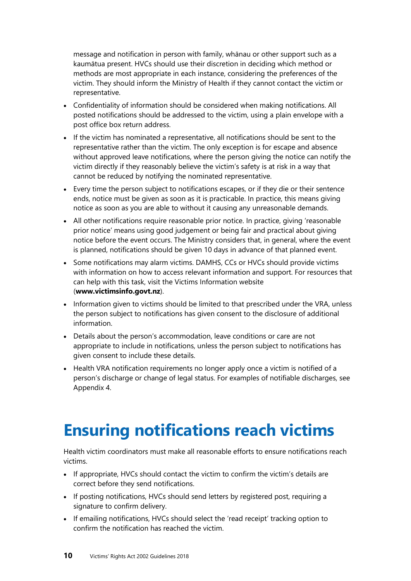message and notification in person with family, whānau or other support such as a kaumātua present. HVCs should use their discretion in deciding which method or methods are most appropriate in each instance, considering the preferences of the victim. They should inform the Ministry of Health if they cannot contact the victim or representative.

- Confidentiality of information should be considered when making notifications. All posted notifications should be addressed to the victim, using a plain envelope with a post office box return address.
- If the victim has nominated a representative, all notifications should be sent to the representative rather than the victim. The only exception is for escape and absence without approved leave notifications, where the person giving the notice can notify the victim directly if they reasonably believe the victim's safety is at risk in a way that cannot be reduced by notifying the nominated representative.
- Every time the person subject to notifications escapes, or if they die or their sentence ends, notice must be given as soon as it is practicable. In practice, this means giving notice as soon as you are able to without it causing any unreasonable demands.
- All other notifications require reasonable prior notice. In practice, giving 'reasonable prior notice' means using good judgement or being fair and practical about giving notice before the event occurs. The Ministry considers that, in general, where the event is planned, notifications should be given 10 days in advance of that planned event.
- Some notifications may alarm victims. DAMHS, CCs or HVCs should provide victims with information on how to access relevant information and support. For resources that can help with this task, visit the [Victims Information](http://www.victimsinfo.govt.nz/support-and-services/information-and-services-for-victims/) website (**[www.victimsinfo.govt.nz](http://www.victimsinfo.govt.nz/)**).
- Information given to victims should be limited to that prescribed under the VRA, unless the person subject to notifications has given consent to the disclosure of additional information.
- Details about the person's accommodation, leave conditions or care are not appropriate to include in notifications, unless the person subject to notifications has given consent to include these details.
- Health VRA notification requirements no longer apply once a victim is notified of a person's discharge or change of legal status. For examples of notifiable discharges, see Appendix 4.

#### <span id="page-13-0"></span>**Ensuring notifications reach victims**

Health victim coordinators must make all reasonable efforts to ensure notifications reach victims.

- If appropriate, HVCs should contact the victim to confirm the victim's details are correct before they send notifications.
- If posting notifications, HVCs should send letters by registered post, requiring a signature to confirm delivery.
- If emailing notifications, HVCs should select the 'read receipt' tracking option to confirm the notification has reached the victim.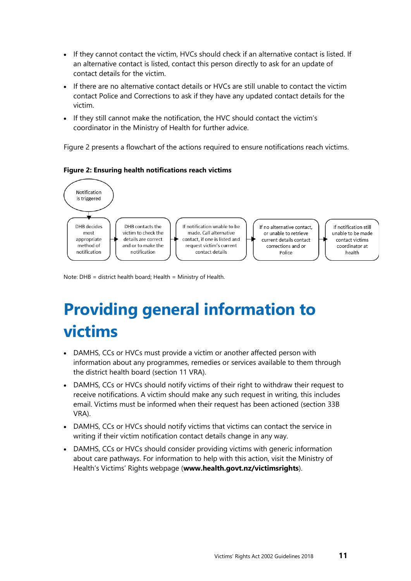- If they cannot contact the victim, HVCs should check if an alternative contact is listed. If an alternative contact is listed, contact this person directly to ask for an update of contact details for the victim.
- If there are no alternative contact details or HVCs are still unable to contact the victim contact Police and Corrections to ask if they have any updated contact details for the victim.
- If they still cannot make the notification, the HVC should contact the victim's coordinator in the Ministry of Health for further advice.

Figure 2 presents a flowchart of the actions required to ensure notifications reach victims.

#### **Figure 2: Ensuring health notifications reach victims**



<span id="page-14-0"></span>Note: DHB = district health board; Health = Ministry of Health.

# **Providing general information to victims**

- DAMHS, CCs or HVCs must provide a victim or another affected person with information about any programmes, remedies or services available to them through the district health board (section 11 VRA).
- DAMHS, CCs or HVCs should notify victims of their right to withdraw their request to receive notifications. A victim should make any such request in writing, this includes email. Victims must be informed when their request has been actioned (section 33B VRA).
- DAMHS, CCs or HVCs should notify victims that victims can contact the service in writing if their victim notification contact details change in any way.
- DAMHS, CCs or HVCs should consider providing victims with generic information about care pathways. For information to help with this action, visit the Ministry of Health's Victims' Rights webpage (**[www.health.govt.nz/victimsrights](http://www.health.govt.nz/victimsrights)**).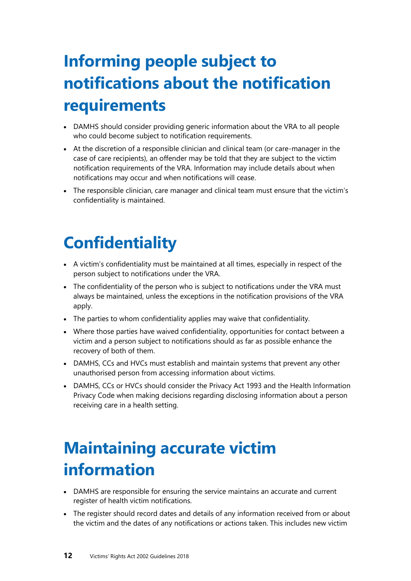# <span id="page-15-0"></span>**Informing people subject to notifications about the notification requirements**

- DAMHS should consider providing generic information about the VRA to all people who could become subject to notification requirements.
- At the discretion of a responsible clinician and clinical team (or care-manager in the case of care recipients), an offender may be told that they are subject to the victim notification requirements of the VRA. Information may include details about when notifications may occur and when notifications will cease.
- The responsible clinician, care manager and clinical team must ensure that the victim's confidentiality is maintained.

## <span id="page-15-1"></span>**Confidentiality**

- A victim's confidentiality must be maintained at all times, especially in respect of the person subject to notifications under the VRA.
- The confidentiality of the person who is subject to notifications under the VRA must always be maintained, unless the exceptions in the notification provisions of the VRA apply.
- The parties to whom confidentiality applies may waive that confidentiality.
- Where those parties have waived confidentiality, opportunities for contact between a victim and a person subject to notifications should as far as possible enhance the recovery of both of them.
- DAMHS, CCs and HVCs must establish and maintain systems that prevent any other unauthorised person from accessing information about victims.
- DAMHS, CCs or HVCs should consider the Privacy Act 1993 and the Health Information Privacy Code when making decisions regarding disclosing information about a person receiving care in a health setting.

### <span id="page-15-2"></span>**Maintaining accurate victim information**

- DAMHS are responsible for ensuring the service maintains an accurate and current register of health victim notifications.
- The register should record dates and details of any information received from or about the victim and the dates of any notifications or actions taken. This includes new victim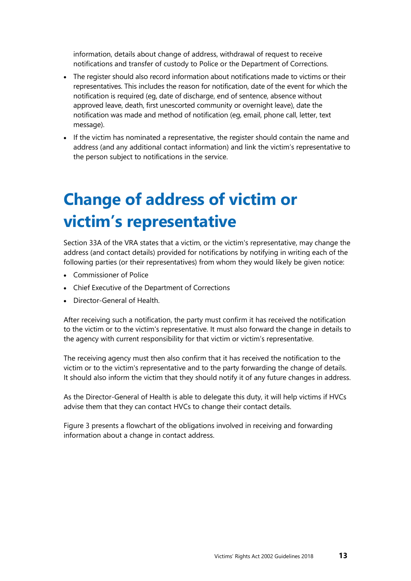information, details about change of address, withdrawal of request to receive notifications and transfer of custody to Police or the Department of Corrections.

- The register should also record information about notifications made to victims or their representatives. This includes the reason for notification, date of the event for which the notification is required (eg, date of discharge, end of sentence, absence without approved leave, death, first unescorted community or overnight leave), date the notification was made and method of notification (eg, email, phone call, letter, text message).
- If the victim has nominated a representative, the register should contain the name and address (and any additional contact information) and link the victim's representative to the person subject to notifications in the service.

## <span id="page-16-0"></span>**Change of address of victim or victim's representative**

Section 33A of the VRA states that a victim, or the victim's representative, may change the address (and contact details) provided for notifications by notifying in writing each of the following parties (or their representatives) from whom they would likely be given notice:

- Commissioner of Police
- Chief Executive of the Department of Corrections
- Director-General of Health.

After receiving such a notification, the party must confirm it has received the notification to the victim or to the victim's representative. It must also forward the change in details to the agency with current responsibility for that victim or victim's representative.

The receiving agency must then also confirm that it has received the notification to the victim or to the victim's representative and to the party forwarding the change of details. It should also inform the victim that they should notify it of any future changes in address.

As the Director-General of Health is able to delegate this duty, it will help victims if HVCs advise them that they can contact HVCs to change their contact details.

Figure 3 presents a flowchart of the obligations involved in receiving and forwarding information about a change in contact address.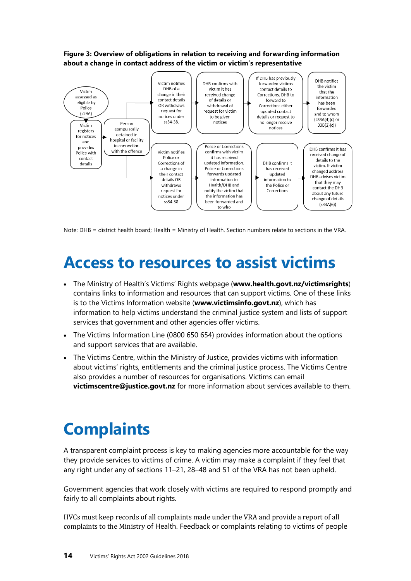#### **Figure 3: Overview of obligations in relation to receiving and forwarding information about a change in contact address of the victim or victim's representative**



<span id="page-17-0"></span>Note: DHB = district health board; Health = Ministry of Health. Section numbers relate to sections in the VRA.

### **Access to resources to assist victims**

- The Ministry of Health's Victims' Rights webpage (**[www.health.govt.nz/victimsrights](http://www.health.govt.nz/victimsrights)**) contains links to information and resources that can support victims. One of these links is to the [Victims Information website](http://www.victimsinfo.govt.nz/support-and-services/) (**[www.victimsinfo.govt.nz](http://www.victimsinfo.govt.nz/)**), which has information to help victims understand the criminal justice system and lists of support services that government and other agencies offer victims.
- The Victims Information Line (0800 650 654) provides information about the options and support services that are available.
- The Victims Centre, within the Ministry of Justice, provides victims with information about victims' rights, entitlements and the criminal justice process. The Victims Centre also provides a number of resources for organisations. Victims can email **[victimscentre@justice.govt.nz](mailto:victimscentre@justice.govt.nz)** for more information about services available to them.

### <span id="page-17-1"></span>**Complaints**

A transparent complaint process is key to making agencies more accountable for the way they provide services to victims of crime. A victim may make a complaint if they feel that any right under any of sections 11–21, 28–48 and 51 of the VRA has not been upheld.

Government agencies that work closely with victims are required to respond promptly and fairly to all complaints about rights.

HVCs must keep records of all complaints made under the VRA and provide a report of all complaints to the Ministry of Health. Feedback or complaints relating to victims of people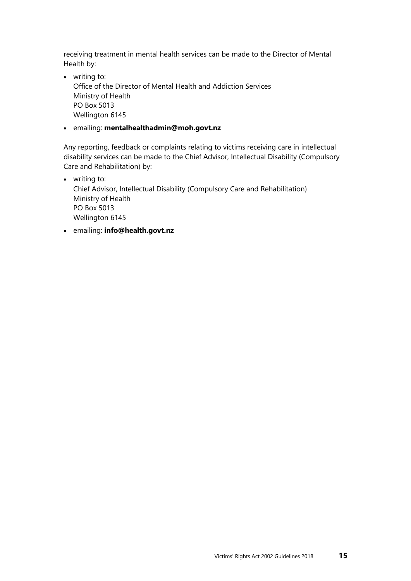receiving treatment in mental health services can be made to the Director of Mental Health by:

- writing to: Office of the Director of Mental Health and Addiction Services Ministry of Health PO Box 5013 Wellington 6145
- emailing: **[mentalhealthadmin@moh.govt.nz](mailto:mentalhealthadmin@moh.govt.nz)**

Any reporting, feedback or complaints relating to victims receiving care in intellectual disability services can be made to the Chief Advisor, Intellectual Disability (Compulsory Care and Rehabilitation) by:

- writing to: Chief Advisor, Intellectual Disability (Compulsory Care and Rehabilitation) Ministry of Health PO Box 5013 Wellington 6145
- emailing: **[info@health.govt.nz](mailto:info@health.govt.nz)**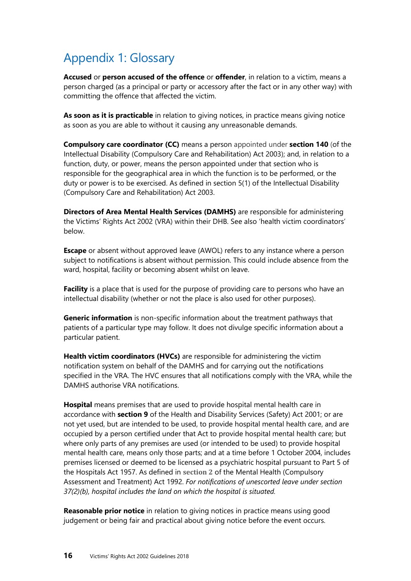#### <span id="page-19-0"></span>Appendix 1: Glossary

**Accused** or **person accused of the offence** or **offender**, in relation to a victim, means a person charged (as a principal or party or accessory after the fact or in any other way) with committing the offence that affected the victim.

**As soon as it is practicable** in relation to giving notices, in practice means giving notice as soon as you are able to without it causing any unreasonable demands.

**Compulsory care coordinator (CC)** means a person appointed under **[section 140](http://www.legislation.govt.nz/act/public/2003/0116/latest/link.aspx?id=DLM225992#DLM225992)** (of the Intellectual Disability (Compulsory Care and Rehabilitation) Act 2003); and, in relation to a function, duty, or power, means the person appointed under that section who is responsible for the geographical area in which the function is to be performed, or the duty or power is to be exercised. As defined in [section 5\(1\)](mailto:http://www.legislation.govt.nz/act/public/2003/0116/latest/DLM224587.html) of the Intellectual Disability (Compulsory Care and Rehabilitation) Act 2003.

**Directors of Area Mental Health Services (DAMHS)** are responsible for administering the Victims' Rights Act 2002 (VRA) within their DHB. See also 'health victim coordinators' below.

**Escape** or absent without approved leave (AWOL) refers to any instance where a person subject to notifications is absent without permission. This could include absence from the ward, hospital, facility or becoming absent whilst on leave.

**Facility** is a place that is used for the purpose of providing care to persons who have an intellectual disability (whether or not the place is also used for other purposes).

**Generic information** is non-specific information about the treatment pathways that patients of a particular type may follow. It does not divulge specific information about a particular patient.

**Health victim coordinators (HVCs)** are responsible for administering the victim notification system on behalf of the DAMHS and for carrying out the notifications specified in the VRA. The HVC ensures that all notifications comply with the VRA, while the DAMHS authorise VRA notifications.

**Hospital** means premises that are used to provide hospital mental health care in accordance with **[section 9](http://www.legislation.govt.nz/act/public/1992/0046/latest/link.aspx?id=DLM120538#DLM120538)** of the Health and Disability Services (Safety) Act 2001; or are not yet used, but are intended to be used, to provide hospital mental health care, and are occupied by a person certified under that Act to provide hospital mental health care; but where only parts of any premises are used (or intended to be used) to provide hospital mental health care, means only those parts; and at a time before 1 October 2004, includes premises licensed or deemed to be licensed as a psychiatric hospital pursuant to Part 5 of the Hospitals Act 1957. As defined in **[section 2](mailto:http://www.legislation.govt.nz/act/public/1992/0046/latest/whole.html%23DLM262181)** of the Mental Health (Compulsory Assessment and Treatment) Act 1992. *For notifications of unescorted leave under section 37(2)(b), hospital includes the land on which the hospital is situated.* 

**Reasonable prior notice** in relation to giving notices in practice means using good judgement or being fair and practical about giving notice before the event occurs.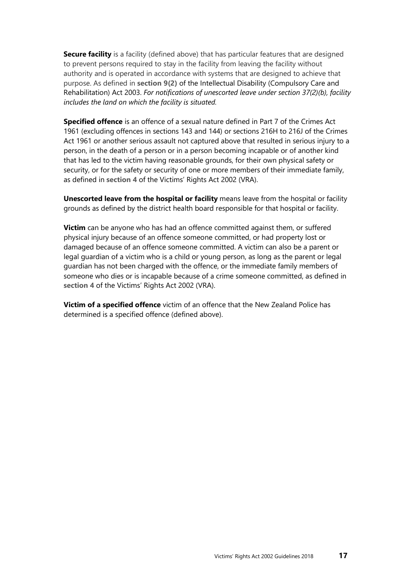**Secure facility** is a facility (defined above) that has particular features that are designed to prevent persons required to stay in the facility from leaving the facility without authority and is operated in accordance with systems that are designed to achieve that purpose. As defined in **[section 9\(2\)](mailto:http://www.legislation.govt.nz/act/public/2003/0116/latest/DLM225181.html)** of the Intellectual Disability (Compulsory Care and Rehabilitation) Act 2003. *For notifications of unescorted leave under section 37(2)(b), facility includes the land on which the facility is situated.* 

**Specified offence** is an offence of a sexual nature defined in Part 7 of the Crimes Act 1961 (excluding offences in sections 143 and 144) or sections 216H to 216J of the Crimes Act 1961 or another serious assault not captured above that resulted in serious injury to a person, in the death of a person or in a person becoming incapable or of another kind that has led to the victim having reasonable grounds, for their own physical safety or security, or for the safety or security of one or more members of their immediate family, as defined in **[section 4](mailto:http://www.legislation.govt.nz/act/public/2002/0039/52.0/DLM157820.html)** of the Victims' Rights Act 2002 (VRA).

**Unescorted leave from the hospital or facility** means leave from the hospital or facility grounds as defined by the district health board responsible for that hospital or facility.

**Victim** can be anyone who has had an offence committed against them, or suffered physical injury because of an offence someone committed, or had property lost or damaged because of an offence someone committed. A victim can also be a parent or legal guardian of a victim who is a child or young person, as long as the parent or legal guardian has not been charged with the offence, or the immediate family members of someone who dies or is incapable because of a crime someone committed, as defined in **[section 4](mailto:http://www.legislation.govt.nz/act/public/2002/0039/52.0/DLM157820.html)** of the Victims' Rights Act 2002 (VRA).

**Victim of a specified offence** victim of an offence that the New Zealand Police has determined is a specified offence (defined above).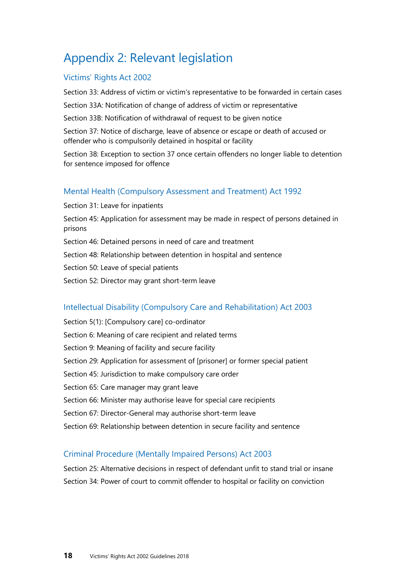#### <span id="page-21-0"></span>Appendix 2: Relevant legislation

#### Victims' Rights Act 2002

Section 33: Address of victim or victim's representative to be forwarded in certain cases

Section 33A: Notification of change of address of victim or representative

Section 33B: Notification of withdrawal of request to be given notice

Section 37: Notice of discharge, leave of absence or escape or death of accused or offender who is compulsorily detained in hospital or facility

Section 38: Exception to section 37 once certain offenders no longer liable to detention for sentence imposed for offence

#### Mental Health (Compulsory Assessment and Treatment) Act 1992

Section 31: Leave for inpatients Section 45: Application for assessment may be made in respect of persons detained in prisons Section 46: Detained persons in need of care and treatment Section 48: Relationship between detention in hospital and sentence Section 50: Leave of special patients Section 52: Director may grant short-term leave

#### Intellectual Disability (Compulsory Care and Rehabilitation) Act 2003

Section 5(1): [Compulsory care] co-ordinator Section 6: Meaning of care recipient and related terms Section 9: Meaning of facility and secure facility Section 29: Application for assessment of [prisoner] or former special patient Section 45: Jurisdiction to make compulsory care order Section 65: Care manager may grant leave Section 66: Minister may authorise leave for special care recipients Section 67: Director-General may authorise short-term leave Section 69: Relationship between detention in secure facility and sentence

#### Criminal Procedure (Mentally Impaired Persons) Act 2003

Section 25: Alternative decisions in respect of defendant unfit to stand trial or insane Section 34: Power of court to commit offender to hospital or facility on conviction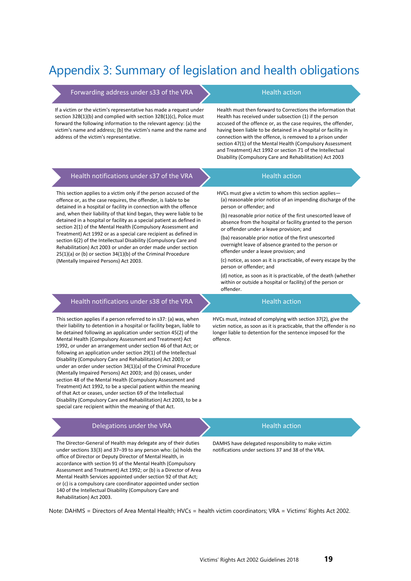#### <span id="page-22-0"></span>Appendix 3: Summary of legislation and health obligations

Forwarding address under s33 of the VRA  $\bigcup$  Health action

If a victim or the victim's representative has made a request under section 32B(1)(b) and complied with section 32B(1)(c), Police must forward the following information to the relevant agency: (a) the victim's name and address; (b) the victim's name and the name and address of the victim's representative.

Health must then forward to Corrections the information that Health has received under subsection (1) if the person accused of the offence or, as the case requires, the offender, having been liable to be detained in a hospital or facility in connection with the offence, is removed to a prison under section 47(1) of the Mental Health (Compulsory Assessment and Treatment) Act 1992 or section 71 of the Intellectual Disability (Compulsory Care and Rehabilitation) Act 2003

| Health notifications under s37 of the VRA                                                                                                                                                                                                                                                                                                                                                                                                                                                                                                                                                                                                                                                                                                                                                                                                                                                                                                          | <b>Health action</b>                                                                                                                                                                                                                                                                                                                                                                                                                                                                                                                                                                                                                                                                                                             |
|----------------------------------------------------------------------------------------------------------------------------------------------------------------------------------------------------------------------------------------------------------------------------------------------------------------------------------------------------------------------------------------------------------------------------------------------------------------------------------------------------------------------------------------------------------------------------------------------------------------------------------------------------------------------------------------------------------------------------------------------------------------------------------------------------------------------------------------------------------------------------------------------------------------------------------------------------|----------------------------------------------------------------------------------------------------------------------------------------------------------------------------------------------------------------------------------------------------------------------------------------------------------------------------------------------------------------------------------------------------------------------------------------------------------------------------------------------------------------------------------------------------------------------------------------------------------------------------------------------------------------------------------------------------------------------------------|
| This section applies to a victim only if the person accused of the<br>offence or, as the case requires, the offender, is liable to be<br>detained in a hospital or facility in connection with the offence<br>and, when their liability of that kind began, they were liable to be<br>detained in a hospital or facility as a special patient as defined in<br>section 2(1) of the Mental Health (Compulsory Assessment and<br>Treatment) Act 1992 or as a special care recipient as defined in<br>section 6(2) of the Intellectual Disability (Compulsory Care and<br>Rehabilitation) Act 2003 or under an order made under section<br>25(1)(a) or (b) or section 34(1)(b) of the Criminal Procedure<br>(Mentally Impaired Persons) Act 2003.                                                                                                                                                                                                     | HVCs must give a victim to whom this section applies-<br>(a) reasonable prior notice of an impending discharge of the<br>person or offender; and<br>(b) reasonable prior notice of the first unescorted leave of<br>absence from the hospital or facility granted to the person<br>or offender under a leave provision; and<br>(ba) reasonable prior notice of the first unescorted<br>overnight leave of absence granted to the person or<br>offender under a leave provision; and<br>(c) notice, as soon as it is practicable, of every escape by the<br>person or offender; and<br>(d) notice, as soon as it is practicable, of the death (whether<br>within or outside a hospital or facility) of the person or<br>offender. |
| Health notifications under s38 of the VRA                                                                                                                                                                                                                                                                                                                                                                                                                                                                                                                                                                                                                                                                                                                                                                                                                                                                                                          | <b>Health action</b>                                                                                                                                                                                                                                                                                                                                                                                                                                                                                                                                                                                                                                                                                                             |
| This section applies if a person referred to in s37: (a) was, when<br>their liability to detention in a hospital or facility began, liable to<br>be detained following an application under section 45(2) of the<br>Mental Health (Compulsory Assessment and Treatment) Act<br>1992, or under an arrangement under section 46 of that Act; or<br>following an application under section 29(1) of the Intellectual<br>Disability (Compulsory Care and Rehabilitation) Act 2003; or<br>under an order under section 34(1)(a) of the Criminal Procedure<br>(Mentally Impaired Persons) Act 2003; and (b) ceases, under<br>section 48 of the Mental Health (Compulsory Assessment and<br>Treatment) Act 1992, to be a special patient within the meaning<br>of that Act or ceases, under section 69 of the Intellectual<br>Disability (Compulsory Care and Rehabilitation) Act 2003, to be a<br>special care recipient within the meaning of that Act. | HVCs must, instead of complying with section 37(2), give the<br>victim notice, as soon as it is practicable, that the offender is no<br>longer liable to detention for the sentence imposed for the<br>offence.                                                                                                                                                                                                                                                                                                                                                                                                                                                                                                                  |
| Delegations under the VRA                                                                                                                                                                                                                                                                                                                                                                                                                                                                                                                                                                                                                                                                                                                                                                                                                                                                                                                          | <b>Health action</b>                                                                                                                                                                                                                                                                                                                                                                                                                                                                                                                                                                                                                                                                                                             |

The Director-General of Health may delegate any of their duties under sections 33(3) and 37–39 to any person who: (a) holds the office of Director or Deputy Director of Mental Health, in accordance with section 91 of the Mental Health (Compulsory Assessment and Treatment) Act 1992; or (b) is a Director of Area Mental Health Services appointed under section 92 of that Act; or (c) is a compulsory care coordinator appointed under section 140 of the Intellectual Disability (Compulsory Care and Rehabilitation) Act 2003.

DAMHS have delegated responsibility to make victim notifications under sections 37 and 38 of the VRA.

Note: DAHMS = Directors of Area Mental Health; HVCs = health victim coordinators; VRA = Victims' Rights Act 2002.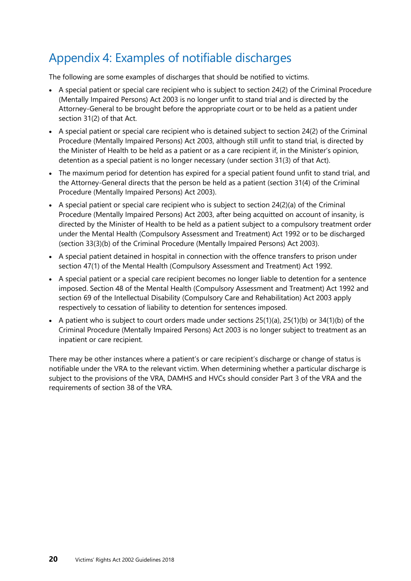#### <span id="page-23-0"></span>Appendix 4: Examples of notifiable discharges

The following are some examples of discharges that should be notified to victims.

- A special patient or special care recipient who is subject to section 24(2) of the Criminal Procedure (Mentally Impaired Persons) Act 2003 is no longer unfit to stand trial and is directed by the Attorney-General to be brought before the appropriate court or to be held as a patient under section 31(2) of that Act.
- A special patient or special care recipient who is detained subject to section 24(2) of the Criminal Procedure (Mentally Impaired Persons) Act 2003, although still unfit to stand trial, is directed by the Minister of Health to be held as a patient or as a care recipient if, in the Minister's opinion, detention as a special patient is no longer necessary (under section 31(3) of that Act).
- The maximum period for detention has expired for a special patient found unfit to stand trial, and the Attorney-General directs that the person be held as a patient (section 31(4) of the Criminal Procedure (Mentally Impaired Persons) Act 2003).
- A special patient or special care recipient who is subject to section  $24(2)(a)$  of the Criminal Procedure (Mentally Impaired Persons) Act 2003, after being acquitted on account of insanity, is directed by the Minister of Health to be held as a patient subject to a compulsory treatment order under the Mental Health (Compulsory Assessment and Treatment) Act 1992 or to be discharged (section 33(3)(b) of the Criminal Procedure (Mentally Impaired Persons) Act 2003).
- A special patient detained in hospital in connection with the offence transfers to prison under section 47(1) of the Mental Health (Compulsory Assessment and Treatment) Act 1992.
- A special patient or a special care recipient becomes no longer liable to detention for a sentence imposed. Section 48 of the Mental Health (Compulsory Assessment and Treatment) Act 1992 and section 69 of the Intellectual Disability (Compulsory Care and Rehabilitation) Act 2003 apply respectively to cessation of liability to detention for sentences imposed.
- A patient who is subject to court orders made under sections 25(1)(a), 25(1)(b) or 34(1)(b) of the Criminal Procedure (Mentally Impaired Persons) Act 2003 is no longer subject to treatment as an inpatient or care recipient.

There may be other instances where a patient's or care recipient's discharge or change of status is notifiable under the VRA to the relevant victim. When determining whether a particular discharge is subject to the provisions of the VRA, DAMHS and HVCs should consider Part 3 of the VRA and the requirements of section 38 of the VRA.